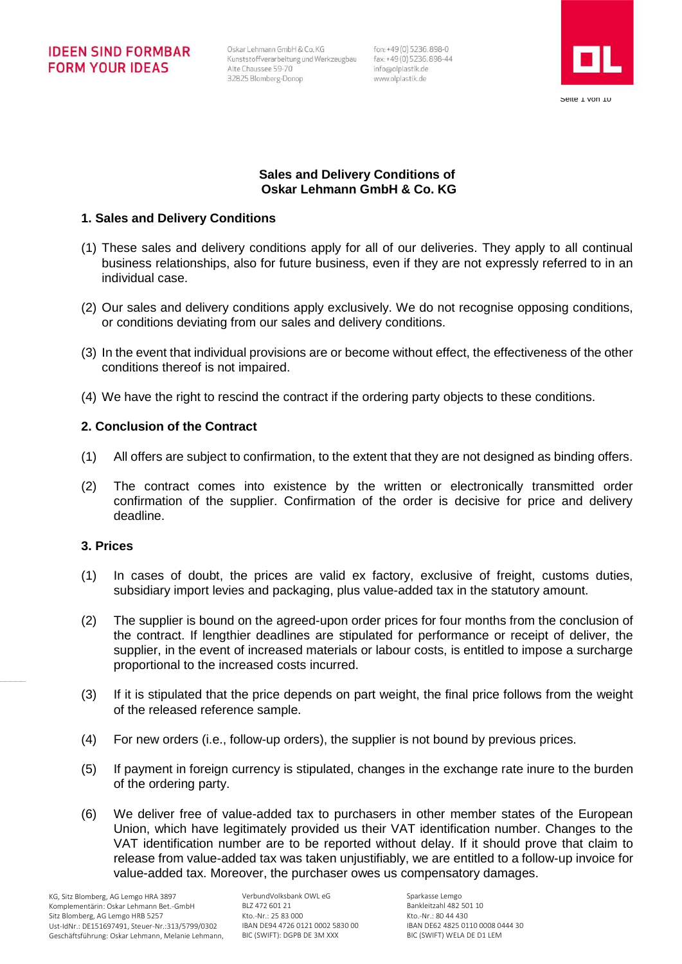Oskar Lehmann GmbH & Co. KG Kunststoffverarbeitung und Werkzeugbau fax: +49 (0) 5236.898-44 Alte Chaussee 59-70 32825 Blomberg-Donop

fon: +49 (0) 5236.898-0 info@olplastik.de www.olplastik.de



## **Sales and Delivery Conditions of Oskar Lehmann GmbH & Co. KG**

## **1. Sales and Delivery Conditions**

- (1) These sales and delivery conditions apply for all of our deliveries. They apply to all continual business relationships, also for future business, even if they are not expressly referred to in an individual case.
- (2) Our sales and delivery conditions apply exclusively. We do not recognise opposing conditions, or conditions deviating from our sales and delivery conditions.
- (3) In the event that individual provisions are or become without effect, the effectiveness of the other conditions thereof is not impaired.
- (4) We have the right to rescind the contract if the ordering party objects to these conditions.

## **2. Conclusion of the Contract**

- (1) All offers are subject to confirmation, to the extent that they are not designed as binding offers.
- (2) The contract comes into existence by the written or electronically transmitted order confirmation of the supplier. Confirmation of the order is decisive for price and delivery deadline.

#### **3. Prices**

- (1) In cases of doubt, the prices are valid ex factory, exclusive of freight, customs duties, subsidiary import levies and packaging, plus value-added tax in the statutory amount.
- (2) The supplier is bound on the agreed-upon order prices for four months from the conclusion of the contract. If lengthier deadlines are stipulated for performance or receipt of deliver, the supplier, in the event of increased materials or labour costs, is entitled to impose a surcharge proportional to the increased costs incurred.
- (3) If it is stipulated that the price depends on part weight, the final price follows from the weight of the released reference sample.
- (4) For new orders (i.e., follow-up orders), the supplier is not bound by previous prices.
- (5) If payment in foreign currency is stipulated, changes in the exchange rate inure to the burden of the ordering party.
- (6) We deliver free of value-added tax to purchasers in other member states of the European Union, which have legitimately provided us their VAT identification number. Changes to the VAT identification number are to be reported without delay. If it should prove that claim to release from value-added tax was taken unjustifiably, we are entitled to a follow-up invoice for value-added tax. Moreover, the purchaser owes us compensatory damages.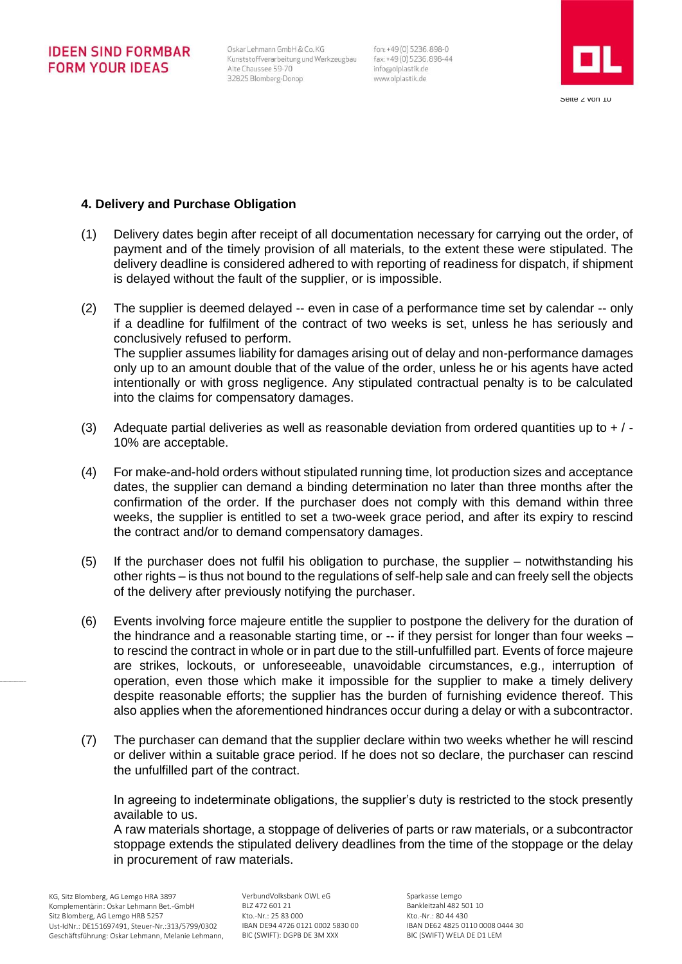Oskar Lehmann GmbH & Co. KG Kunststoffverarbeitung und Werkzeugbau Alte Chaussee 59-70 32825 Blomberg-Donop

fon: +49(0) 5236.898-0 fax: +49 (0) 5236, 898-44 info@olplastik.de www.olplastik.de



## **4. Delivery and Purchase Obligation**

- (1) Delivery dates begin after receipt of all documentation necessary for carrying out the order, of payment and of the timely provision of all materials, to the extent these were stipulated. The delivery deadline is considered adhered to with reporting of readiness for dispatch, if shipment is delayed without the fault of the supplier, or is impossible.
- (2) The supplier is deemed delayed -- even in case of a performance time set by calendar -- only if a deadline for fulfilment of the contract of two weeks is set, unless he has seriously and conclusively refused to perform. The supplier assumes liability for damages arising out of delay and non-performance damages only up to an amount double that of the value of the order, unless he or his agents have acted intentionally or with gross negligence. Any stipulated contractual penalty is to be calculated into the claims for compensatory damages.
- (3) Adequate partial deliveries as well as reasonable deviation from ordered quantities up to  $+$  / -10% are acceptable.
- (4) For make-and-hold orders without stipulated running time, lot production sizes and acceptance dates, the supplier can demand a binding determination no later than three months after the confirmation of the order. If the purchaser does not comply with this demand within three weeks, the supplier is entitled to set a two-week grace period, and after its expiry to rescind the contract and/or to demand compensatory damages.
- (5) If the purchaser does not fulfil his obligation to purchase, the supplier notwithstanding his other rights – is thus not bound to the regulations of self-help sale and can freely sell the objects of the delivery after previously notifying the purchaser.
- (6) Events involving force majeure entitle the supplier to postpone the delivery for the duration of the hindrance and a reasonable starting time, or -- if they persist for longer than four weeks – to rescind the contract in whole or in part due to the still-unfulfilled part. Events of force majeure are strikes, lockouts, or unforeseeable, unavoidable circumstances, e.g., interruption of operation, even those which make it impossible for the supplier to make a timely delivery despite reasonable efforts; the supplier has the burden of furnishing evidence thereof. This also applies when the aforementioned hindrances occur during a delay or with a subcontractor.
- (7) The purchaser can demand that the supplier declare within two weeks whether he will rescind or deliver within a suitable grace period. If he does not so declare, the purchaser can rescind the unfulfilled part of the contract.

In agreeing to indeterminate obligations, the supplier's duty is restricted to the stock presently available to us.

A raw materials shortage, a stoppage of deliveries of parts or raw materials, or a subcontractor stoppage extends the stipulated delivery deadlines from the time of the stoppage or the delay in procurement of raw materials.

VerbundVolksbank OWL eG BLZ 472 601 21 Kto.-Nr.: 25 83 000 IBAN DE94 4726 0121 0002 5830 00 BIC (SWIFT): DGPB DE 3M XXX

Sparkasse Lemgo Bankleitzahl 482 501 10 Kto.-Nr.: 80 44 430 IBAN DE62 4825 0110 0008 0444 30 BIC (SWIFT) WELA DE D1 LEM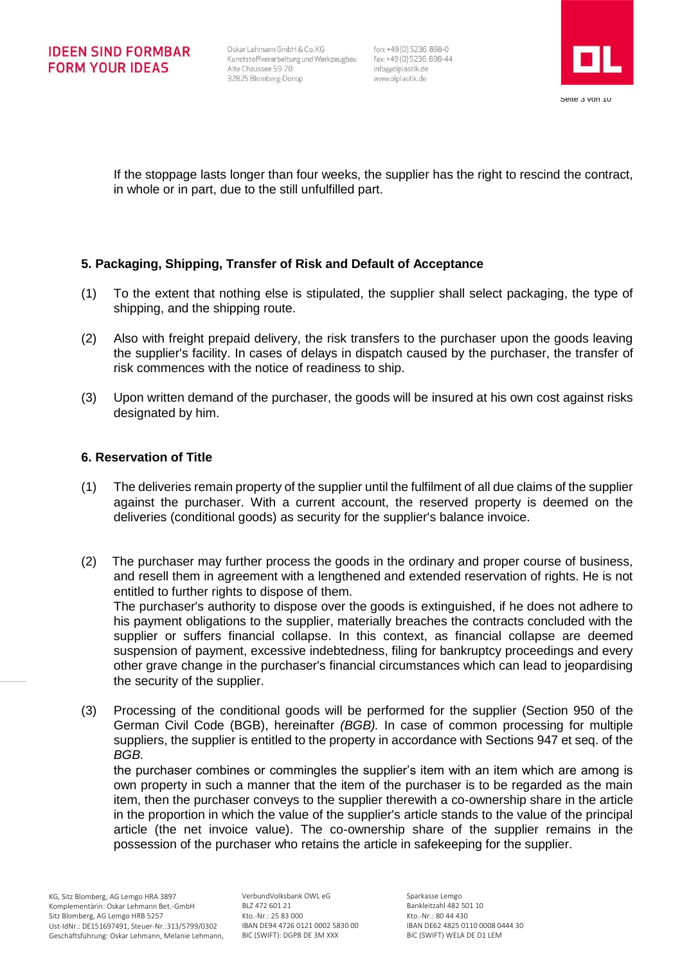fon: +49 (0) 5236.898-0 info@olplastik.de www.olplastik.de



If the stoppage lasts longer than four weeks, the supplier has the right to rescind the contract, in whole or in part, due to the still unfulfilled part.

# **5. Packaging, Shipping, Transfer of Risk and Default of Acceptance**

- (1) To the extent that nothing else is stipulated, the supplier shall select packaging, the type of shipping, and the shipping route.
- (2) Also with freight prepaid delivery, the risk transfers to the purchaser upon the goods leaving the supplier's facility. In cases of delays in dispatch caused by the purchaser, the transfer of risk commences with the notice of readiness to ship.
- (3) Upon written demand of the purchaser, the goods will be insured at his own cost against risks designated by him.

## **6. Reservation of Title**

- (1) The deliveries remain property of the supplier until the fulfilment of all due claims of the supplier against the purchaser. With a current account, the reserved property is deemed on the deliveries (conditional goods) as security for the supplier's balance invoice.
- (2) The purchaser may further process the goods in the ordinary and proper course of business, and resell them in agreement with a lengthened and extended reservation of rights. He is not entitled to further rights to dispose of them. The purchaser's authority to dispose over the goods is extinguished, if he does not adhere to

his payment obligations to the supplier, materially breaches the contracts concluded with the supplier or suffers financial collapse. In this context, as financial collapse are deemed suspension of payment, excessive indebtedness, filing for bankruptcy proceedings and every other grave change in the purchaser's financial circumstances which can lead to jeopardising the security of the supplier.

(3) Processing of the conditional goods will be performed for the supplier (Section 950 of the German Civil Code (BGB), hereinafter *(BGB).* In case of common processing for multiple suppliers, the supplier is entitled to the property in accordance with Sections 947 et seq. of the *BGB.*

the purchaser combines or commingles the supplier's item with an item which are among is own property in such a manner that the item of the purchaser is to be regarded as the main item, then the purchaser conveys to the supplier therewith a co-ownership share in the article in the proportion in which the value of the supplier's article stands to the value of the principal article (the net invoice value). The co-ownership share of the supplier remains in the possession of the purchaser who retains the article in safekeeping for the supplier.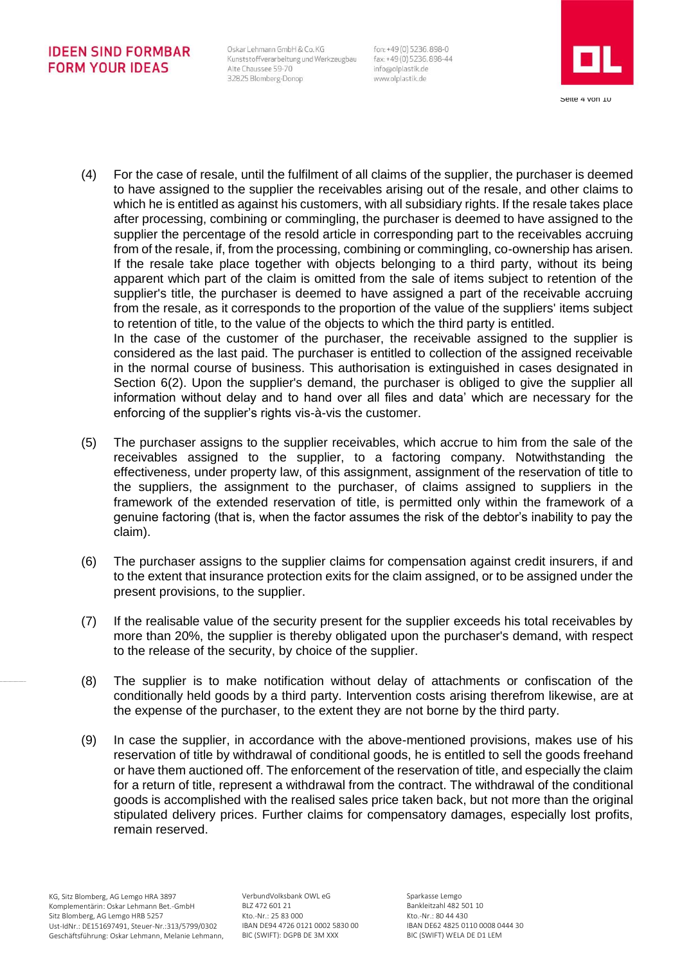Oskar Lehmann GmbH & Co. KG Kunststoffverarbeitung und Werkzeugbau Alte Chaussee 59-70 32825 Blomberg-Donop

enforcing of the supplier's rights vis-à-vis the customer.

fon: +49 (0) 5236.898-0 fax: +49 (0) 5236, 898-44 info@olplastik.de www.olplastik.de



- (4) For the case of resale, until the fulfilment of all claims of the supplier, the purchaser is deemed to have assigned to the supplier the receivables arising out of the resale, and other claims to which he is entitled as against his customers, with all subsidiary rights. If the resale takes place after processing, combining or commingling, the purchaser is deemed to have assigned to the supplier the percentage of the resold article in corresponding part to the receivables accruing from of the resale, if, from the processing, combining or commingling, co-ownership has arisen. If the resale take place together with objects belonging to a third party, without its being apparent which part of the claim is omitted from the sale of items subject to retention of the supplier's title, the purchaser is deemed to have assigned a part of the receivable accruing from the resale, as it corresponds to the proportion of the value of the suppliers' items subject to retention of title, to the value of the objects to which the third party is entitled. In the case of the customer of the purchaser, the receivable assigned to the supplier is considered as the last paid. The purchaser is entitled to collection of the assigned receivable in the normal course of business. This authorisation is extinguished in cases designated in Section 6(2). Upon the supplier's demand, the purchaser is obliged to give the supplier all information without delay and to hand over all files and data' which are necessary for the
- (5) The purchaser assigns to the supplier receivables, which accrue to him from the sale of the receivables assigned to the supplier, to a factoring company. Notwithstanding the effectiveness, under property law, of this assignment, assignment of the reservation of title to the suppliers, the assignment to the purchaser, of claims assigned to suppliers in the framework of the extended reservation of title, is permitted only within the framework of a genuine factoring (that is, when the factor assumes the risk of the debtor's inability to pay the claim).
- (6) The purchaser assigns to the supplier claims for compensation against credit insurers, if and to the extent that insurance protection exits for the claim assigned, or to be assigned under the present provisions, to the supplier.
- (7) If the realisable value of the security present for the supplier exceeds his total receivables by more than 20%, the supplier is thereby obligated upon the purchaser's demand, with respect to the release of the security, by choice of the supplier.
- (8) The supplier is to make notification without delay of attachments or confiscation of the conditionally held goods by a third party. Intervention costs arising therefrom likewise, are at the expense of the purchaser, to the extent they are not borne by the third party.
- (9) In case the supplier, in accordance with the above-mentioned provisions, makes use of his reservation of title by withdrawal of conditional goods, he is entitled to sell the goods freehand or have them auctioned off. The enforcement of the reservation of title, and especially the claim for a return of title, represent a withdrawal from the contract. The withdrawal of the conditional goods is accomplished with the realised sales price taken back, but not more than the original stipulated delivery prices. Further claims for compensatory damages, especially lost profits, remain reserved.

VerbundVolksbank OWL eG BLZ 472 601 21 Kto.-Nr.: 25 83 000 IBAN DE94 4726 0121 0002 5830 00 BIC (SWIFT): DGPB DE 3M XXX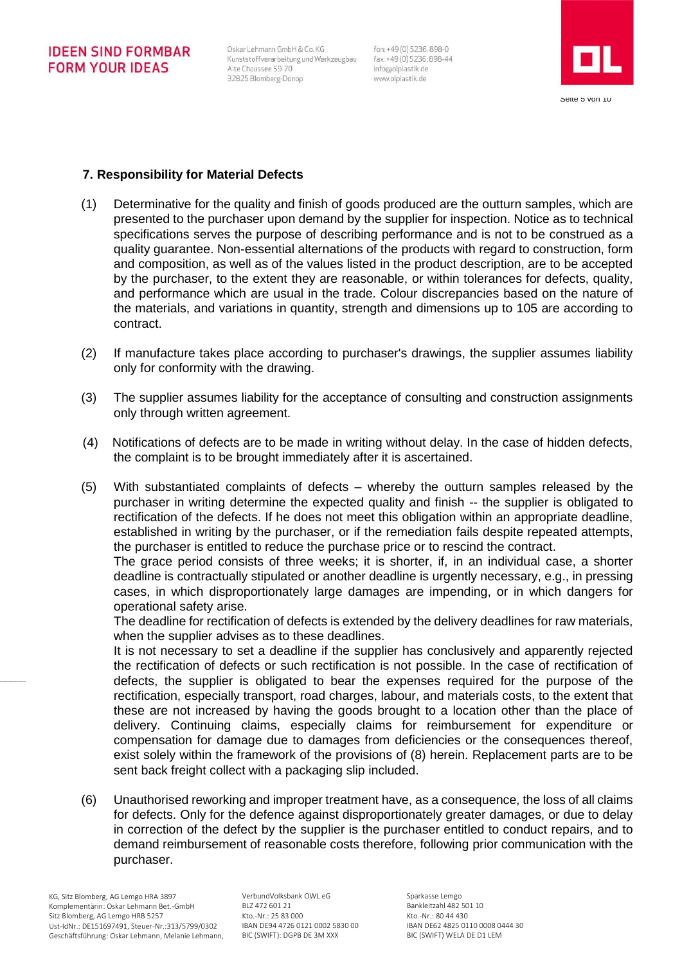Oskar Lehmann GmbH & Co. KG Kunststoffverarbeitung und Werkzeugbau Alte Chaussee 59-70 32825 Blomberg-Donop

fon: +49 (0) 5236.898-0 fax: +49 (0) 5236, 898-44 info@olplastik.de www.olplastik.de



## **7. Responsibility for Material Defects**

- (1) Determinative for the quality and finish of goods produced are the outturn samples, which are presented to the purchaser upon demand by the supplier for inspection. Notice as to technical specifications serves the purpose of describing performance and is not to be construed as a quality guarantee. Non-essential alternations of the products with regard to construction, form and composition, as well as of the values listed in the product description, are to be accepted by the purchaser, to the extent they are reasonable, or within tolerances for defects, quality, and performance which are usual in the trade. Colour discrepancies based on the nature of the materials, and variations in quantity, strength and dimensions up to 105 are according to contract.
- (2) If manufacture takes place according to purchaser's drawings, the supplier assumes liability only for conformity with the drawing.
- (3) The supplier assumes liability for the acceptance of consulting and construction assignments only through written agreement.
- (4) Notifications of defects are to be made in writing without delay. In the case of hidden defects, the complaint is to be brought immediately after it is ascertained.
- (5) With substantiated complaints of defects whereby the outturn samples released by the purchaser in writing determine the expected quality and finish -- the supplier is obligated to rectification of the defects. If he does not meet this obligation within an appropriate deadline, established in writing by the purchaser, or if the remediation fails despite repeated attempts, the purchaser is entitled to reduce the purchase price or to rescind the contract.

The grace period consists of three weeks; it is shorter, if, in an individual case, a shorter deadline is contractually stipulated or another deadline is urgently necessary, e.g., in pressing cases, in which disproportionately large damages are impending, or in which dangers for operational safety arise.

The deadline for rectification of defects is extended by the delivery deadlines for raw materials, when the supplier advises as to these deadlines.

It is not necessary to set a deadline if the supplier has conclusively and apparently rejected the rectification of defects or such rectification is not possible. In the case of rectification of defects, the supplier is obligated to bear the expenses required for the purpose of the rectification, especially transport, road charges, labour, and materials costs, to the extent that these are not increased by having the goods brought to a location other than the place of delivery. Continuing claims, especially claims for reimbursement for expenditure or compensation for damage due to damages from deficiencies or the consequences thereof, exist solely within the framework of the provisions of (8) herein. Replacement parts are to be sent back freight collect with a packaging slip included.

(6) Unauthorised reworking and improper treatment have, as a consequence, the loss of all claims for defects. Only for the defence against disproportionately greater damages, or due to delay in correction of the defect by the supplier is the purchaser entitled to conduct repairs, and to demand reimbursement of reasonable costs therefore, following prior communication with the purchaser.

VerbundVolksbank OWL eG BLZ 472 601 21 Kto.-Nr.: 25 83 000 IBAN DE94 4726 0121 0002 5830 00 BIC (SWIFT): DGPB DE 3M XXX

Sparkasse Lemgo Bankleitzahl 482 501 10 Kto.-Nr.: 80 44 430 IBAN DE62 4825 0110 0008 0444 30 BIC (SWIFT) WELA DE D1 LEM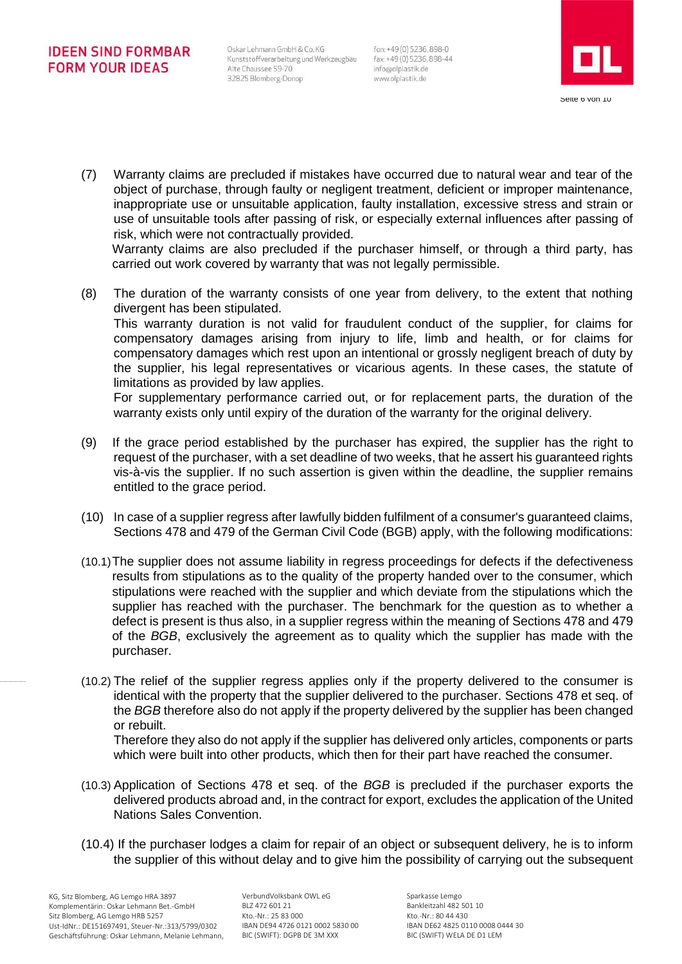Oskar Lehmann GmbH & Co. KG Kunststoffverarbeitung und Werkzeugbau fax: +49 (0) 5236.898-44 Alte Chaussee 59-70 32825 Blomberg-Donop

fon: +49 (0) 5236.898-0 info@olplastik.de www.olplastik.de



(7) Warranty claims are precluded if mistakes have occurred due to natural wear and tear of the object of purchase, through faulty or negligent treatment, deficient or improper maintenance, inappropriate use or unsuitable application, faulty installation, excessive stress and strain or use of unsuitable tools after passing of risk, or especially external influences after passing of risk, which were not contractually provided.

Warranty claims are also precluded if the purchaser himself, or through a third party, has carried out work covered by warranty that was not legally permissible.

(8) The duration of the warranty consists of one year from delivery, to the extent that nothing divergent has been stipulated. This warranty duration is not valid for fraudulent conduct of the supplier, for claims for

compensatory damages arising from injury to life, limb and health, or for claims for compensatory damages which rest upon an intentional or grossly negligent breach of duty by the supplier, his legal representatives or vicarious agents. In these cases, the statute of limitations as provided by law applies.

For supplementary performance carried out, or for replacement parts, the duration of the warranty exists only until expiry of the duration of the warranty for the original delivery.

- (9) If the grace period established by the purchaser has expired, the supplier has the right to request of the purchaser, with a set deadline of two weeks, that he assert his guaranteed rights vis-à-vis the supplier. If no such assertion is given within the deadline, the supplier remains entitled to the grace period.
- (10) In case of a supplier regress after lawfully bidden fulfilment of a consumer's guaranteed claims, Sections 478 and 479 of the German Civil Code (BGB) apply, with the following modifications:
- (10.1)The supplier does not assume liability in regress proceedings for defects if the defectiveness results from stipulations as to the quality of the property handed over to the consumer, which stipulations were reached with the supplier and which deviate from the stipulations which the supplier has reached with the purchaser. The benchmark for the question as to whether a defect is present is thus also, in a supplier regress within the meaning of Sections 478 and 479 of the *BGB*, exclusively the agreement as to quality which the supplier has made with the purchaser.
- (10.2) The relief of the supplier regress applies only if the property delivered to the consumer is identical with the property that the supplier delivered to the purchaser. Sections 478 et seq. of the *BGB* therefore also do not apply if the property delivered by the supplier has been changed or rebuilt.

Therefore they also do not apply if the supplier has delivered only articles, components or parts which were built into other products, which then for their part have reached the consumer.

- (10.3) Application of Sections 478 et seq. of the *BGB* is precluded if the purchaser exports the delivered products abroad and, in the contract for export, excludes the application of the United Nations Sales Convention.
- (10.4) If the purchaser lodges a claim for repair of an object or subsequent delivery, he is to inform the supplier of this without delay and to give him the possibility of carrying out the subsequent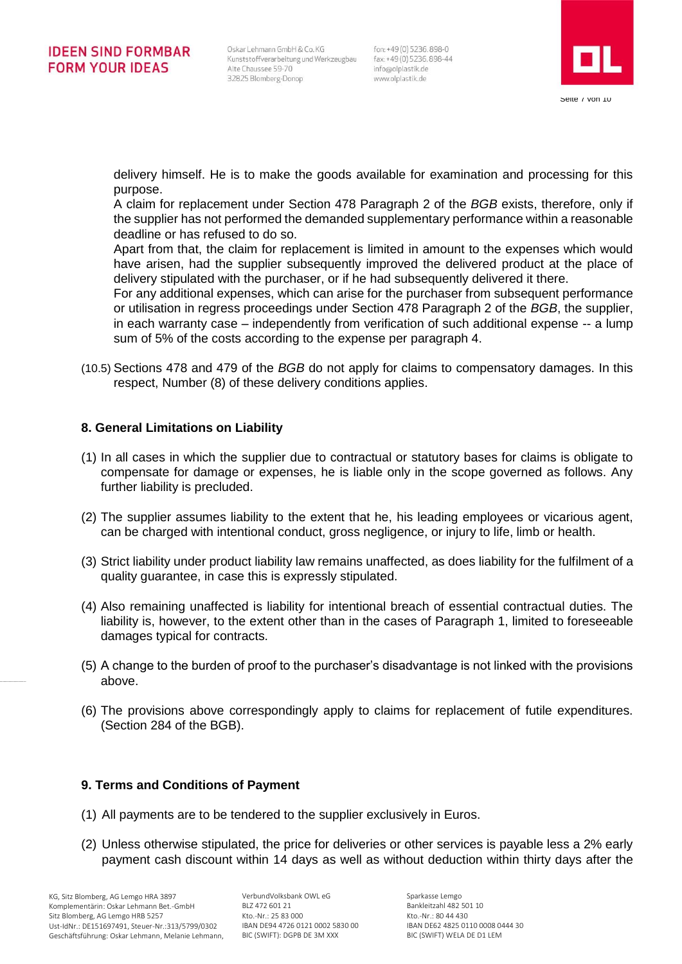fon: +49 (0) 5236.898-0 info@olplastik.de www.olplastik.de



delivery himself. He is to make the goods available for examination and processing for this purpose.

A claim for replacement under Section 478 Paragraph 2 of the *BGB* exists, therefore, only if the supplier has not performed the demanded supplementary performance within a reasonable deadline or has refused to do so.

Apart from that, the claim for replacement is limited in amount to the expenses which would have arisen, had the supplier subsequently improved the delivered product at the place of delivery stipulated with the purchaser, or if he had subsequently delivered it there.

For any additional expenses, which can arise for the purchaser from subsequent performance or utilisation in regress proceedings under Section 478 Paragraph 2 of the *BGB*, the supplier, in each warranty case – independently from verification of such additional expense -- a lump sum of 5% of the costs according to the expense per paragraph 4.

(10.5) Sections 478 and 479 of the *BGB* do not apply for claims to compensatory damages. In this respect, Number (8) of these delivery conditions applies.

## **8. General Limitations on Liability**

- (1) In all cases in which the supplier due to contractual or statutory bases for claims is obligate to compensate for damage or expenses, he is liable only in the scope governed as follows. Any further liability is precluded.
- (2) The supplier assumes liability to the extent that he, his leading employees or vicarious agent, can be charged with intentional conduct, gross negligence, or injury to life, limb or health.
- (3) Strict liability under product liability law remains unaffected, as does liability for the fulfilment of a quality guarantee, in case this is expressly stipulated.
- (4) Also remaining unaffected is liability for intentional breach of essential contractual duties. The liability is, however, to the extent other than in the cases of Paragraph 1, limited to foreseeable damages typical for contracts.
- (5) A change to the burden of proof to the purchaser's disadvantage is not linked with the provisions above.
- (6) The provisions above correspondingly apply to claims for replacement of futile expenditures. (Section 284 of the BGB).

#### **9. Terms and Conditions of Payment**

- (1) All payments are to be tendered to the supplier exclusively in Euros.
- (2) Unless otherwise stipulated, the price for deliveries or other services is payable less a 2% early payment cash discount within 14 days as well as without deduction within thirty days after the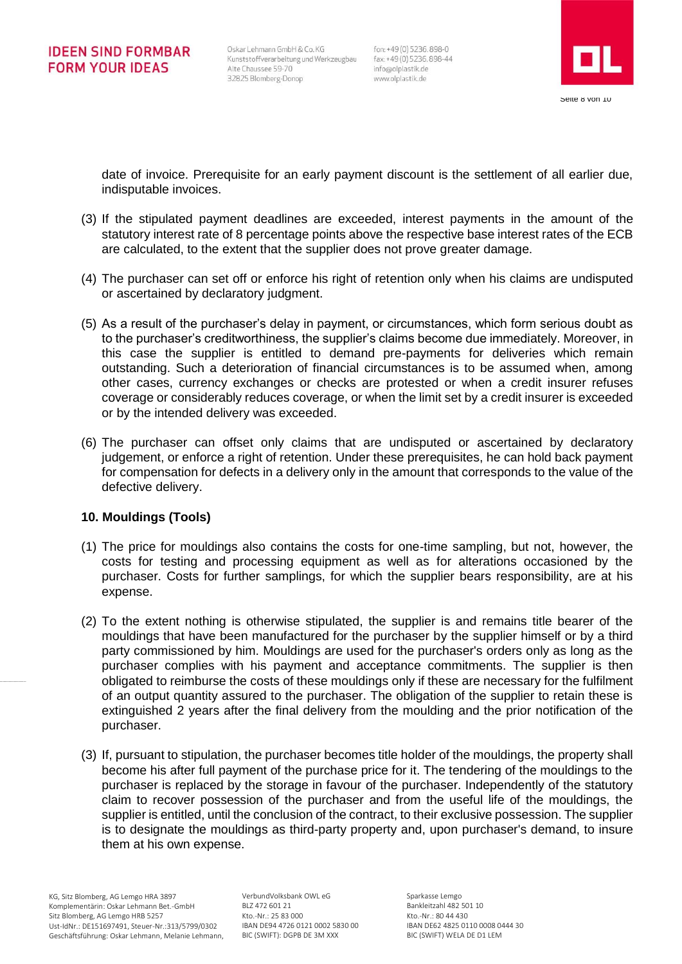fon: +49 (0) 5236.898-0 info@olplastik.de www.olplastik.de



date of invoice. Prerequisite for an early payment discount is the settlement of all earlier due, indisputable invoices.

- (3) If the stipulated payment deadlines are exceeded, interest payments in the amount of the statutory interest rate of 8 percentage points above the respective base interest rates of the ECB are calculated, to the extent that the supplier does not prove greater damage.
- (4) The purchaser can set off or enforce his right of retention only when his claims are undisputed or ascertained by declaratory judgment.
- (5) As a result of the purchaser's delay in payment, or circumstances, which form serious doubt as to the purchaser's creditworthiness, the supplier's claims become due immediately. Moreover, in this case the supplier is entitled to demand pre-payments for deliveries which remain outstanding. Such a deterioration of financial circumstances is to be assumed when, among other cases, currency exchanges or checks are protested or when a credit insurer refuses coverage or considerably reduces coverage, or when the limit set by a credit insurer is exceeded or by the intended delivery was exceeded.
- (6) The purchaser can offset only claims that are undisputed or ascertained by declaratory judgement, or enforce a right of retention. Under these prerequisites, he can hold back payment for compensation for defects in a delivery only in the amount that corresponds to the value of the defective delivery.

#### **10. Mouldings (Tools)**

- (1) The price for mouldings also contains the costs for one-time sampling, but not, however, the costs for testing and processing equipment as well as for alterations occasioned by the purchaser. Costs for further samplings, for which the supplier bears responsibility, are at his expense.
- (2) To the extent nothing is otherwise stipulated, the supplier is and remains title bearer of the mouldings that have been manufactured for the purchaser by the supplier himself or by a third party commissioned by him. Mouldings are used for the purchaser's orders only as long as the purchaser complies with his payment and acceptance commitments. The supplier is then obligated to reimburse the costs of these mouldings only if these are necessary for the fulfilment of an output quantity assured to the purchaser. The obligation of the supplier to retain these is extinguished 2 years after the final delivery from the moulding and the prior notification of the purchaser.
- (3) If, pursuant to stipulation, the purchaser becomes title holder of the mouldings, the property shall become his after full payment of the purchase price for it. The tendering of the mouldings to the purchaser is replaced by the storage in favour of the purchaser. Independently of the statutory claim to recover possession of the purchaser and from the useful life of the mouldings, the supplier is entitled, until the conclusion of the contract, to their exclusive possession. The supplier is to designate the mouldings as third-party property and, upon purchaser's demand, to insure them at his own expense.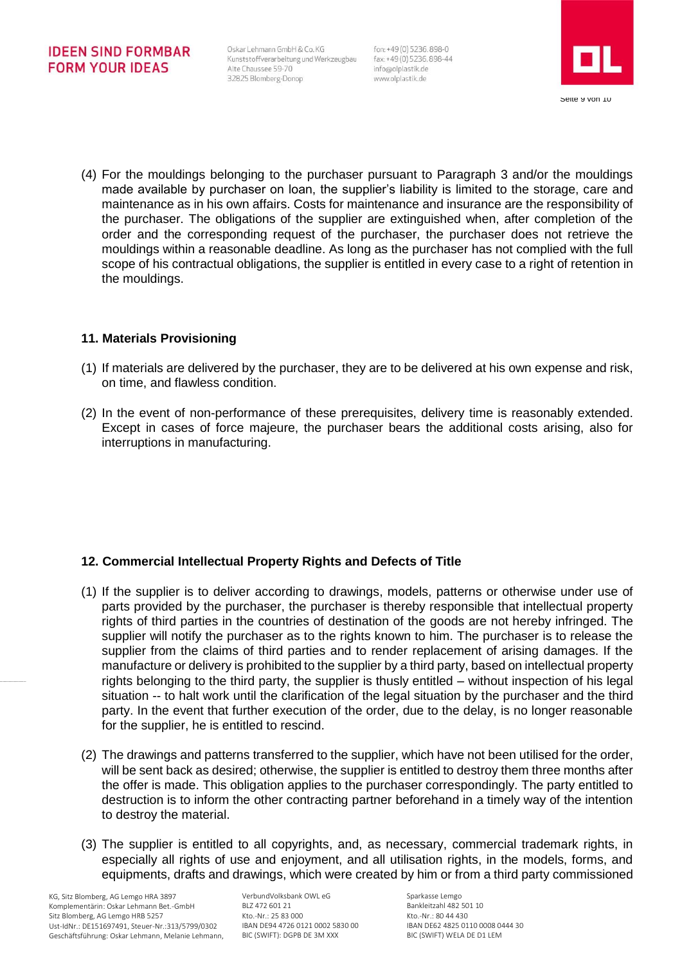Oskar Lehmann GmbH & Co. KG Kunststoffverarbeitung und Werkzeugbau Alte Chaussee 59-70 32825 Blomberg-Donop

fon: +49(0) 5236.898-0 fax: +49 (0) 5236, 898-44 info@olplastik.de www.olplastik.de



(4) For the mouldings belonging to the purchaser pursuant to Paragraph 3 and/or the mouldings made available by purchaser on loan, the supplier's liability is limited to the storage, care and maintenance as in his own affairs. Costs for maintenance and insurance are the responsibility of the purchaser. The obligations of the supplier are extinguished when, after completion of the order and the corresponding request of the purchaser, the purchaser does not retrieve the mouldings within a reasonable deadline. As long as the purchaser has not complied with the full scope of his contractual obligations, the supplier is entitled in every case to a right of retention in the mouldings.

## **11. Materials Provisioning**

- (1) If materials are delivered by the purchaser, they are to be delivered at his own expense and risk, on time, and flawless condition.
- (2) In the event of non-performance of these prerequisites, delivery time is reasonably extended. Except in cases of force majeure, the purchaser bears the additional costs arising, also for interruptions in manufacturing.

# **12. Commercial Intellectual Property Rights and Defects of Title**

- (1) If the supplier is to deliver according to drawings, models, patterns or otherwise under use of parts provided by the purchaser, the purchaser is thereby responsible that intellectual property rights of third parties in the countries of destination of the goods are not hereby infringed. The supplier will notify the purchaser as to the rights known to him. The purchaser is to release the supplier from the claims of third parties and to render replacement of arising damages. If the manufacture or delivery is prohibited to the supplier by a third party, based on intellectual property rights belonging to the third party, the supplier is thusly entitled – without inspection of his legal situation -- to halt work until the clarification of the legal situation by the purchaser and the third party. In the event that further execution of the order, due to the delay, is no longer reasonable for the supplier, he is entitled to rescind.
- (2) The drawings and patterns transferred to the supplier, which have not been utilised for the order, will be sent back as desired; otherwise, the supplier is entitled to destroy them three months after the offer is made. This obligation applies to the purchaser correspondingly. The party entitled to destruction is to inform the other contracting partner beforehand in a timely way of the intention to destroy the material.
- (3) The supplier is entitled to all copyrights, and, as necessary, commercial trademark rights, in especially all rights of use and enjoyment, and all utilisation rights, in the models, forms, and equipments, drafts and drawings, which were created by him or from a third party commissioned